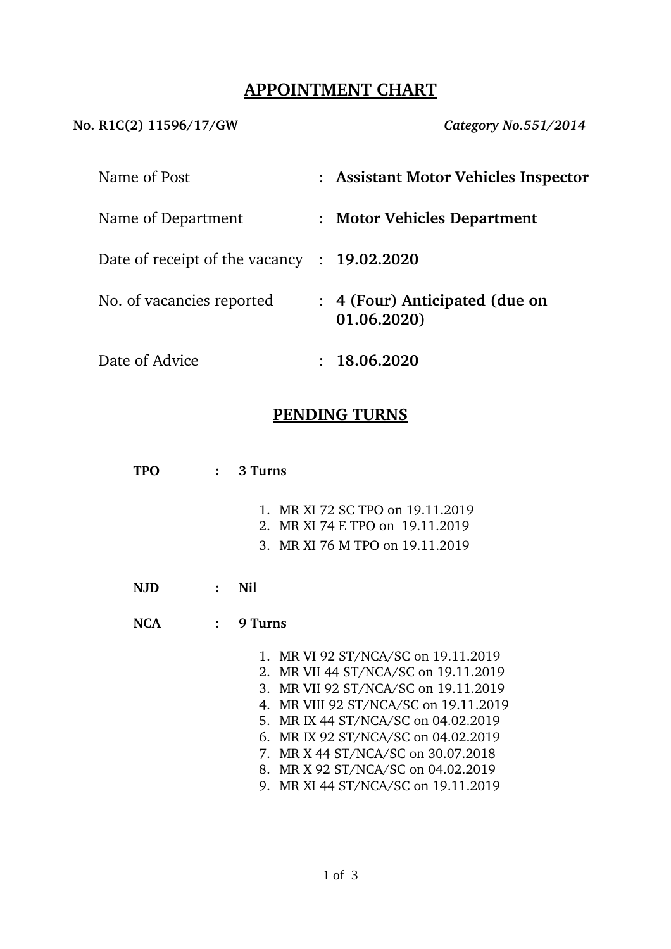## **APPOINTMENT CHART**

**No. R1C(2) 11596/17/GW** *Category No.551/2014*

| Name of Post                   | : Assistant Motor Vehicles Inspector        |
|--------------------------------|---------------------------------------------|
| Name of Department             | : Motor Vehicles Department                 |
| Date of receipt of the vacancy | : 19.02.2020                                |
| No. of vacancies reported      | 4 (Four) Anticipated (due on<br>01.06.2020) |
| Date of Advice                 | 18.06.2020                                  |

## **PENDING TURNS**

**TPO : 3 Turns**

- 1. MR XI 72 SC TPO on 19.11.2019
- 2. MR XI 74 E TPO on 19.11.2019
- 3. MR XI 76 M TPO on 19.11.2019
- **NJD : Nil**
- **NCA : 9 Turns**
	- 1. MR VI 92 ST/NCA/SC on 19.11.2019
	- 2. MR VII 44 ST/NCA/SC on 19.11.2019
	- 3. MR VII 92 ST/NCA/SC on 19.11.2019
	- 4. MR VIII 92 ST/NCA/SC on 19.11.2019
	- 5. MR IX 44 ST/NCA/SC on 04.02.2019
	- 6. MR IX 92 ST/NCA/SC on 04.02.2019
	- 7. MR X 44 ST/NCA/SC on 30.07.2018
	- 8. MR X 92 ST/NCA/SC on 04.02.2019
	- 9. MR XI 44 ST/NCA/SC on 19.11.2019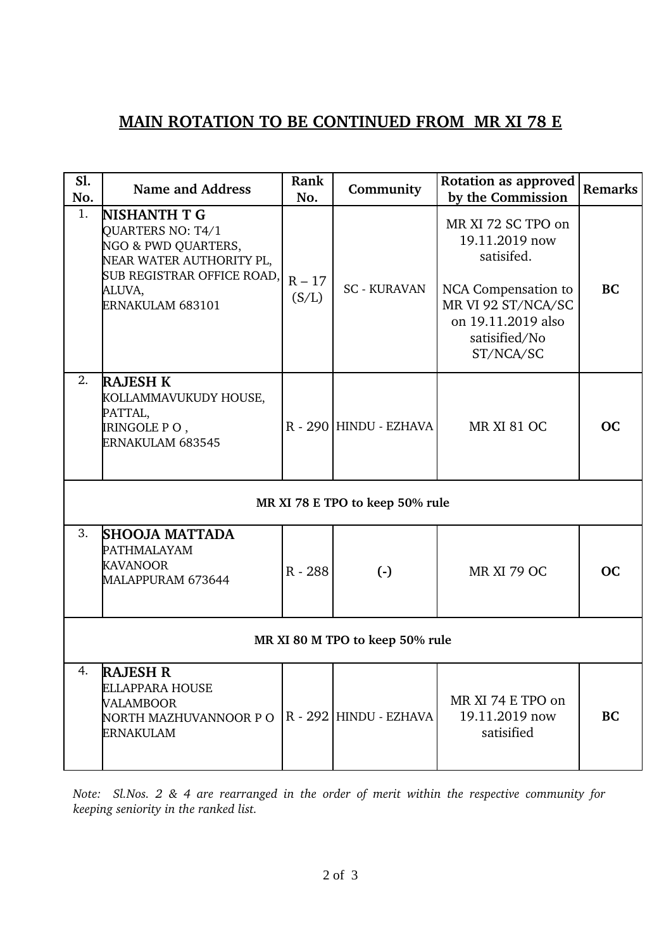# **MAIN ROTATION TO BE CONTINUED FROM MR XI 78 E**

| Sl.<br>No.                      | <b>Name and Address</b>                                                                                                                          | Rank<br>No.       | Community              | Rotation as approved<br>by the Commission                                                                                                           | <b>Remarks</b> |  |  |  |  |
|---------------------------------|--------------------------------------------------------------------------------------------------------------------------------------------------|-------------------|------------------------|-----------------------------------------------------------------------------------------------------------------------------------------------------|----------------|--|--|--|--|
| 1.                              | NISHANTH T G<br>QUARTERS NO: T4/1<br>NGO & PWD QUARTERS,<br>NEAR WATER AUTHORITY PL,<br>SUB REGISTRAR OFFICE ROAD,<br>ALUVA,<br>ERNAKULAM 683101 | $R - 17$<br>(S/L) | <b>SC - KURAVAN</b>    | MR XI 72 SC TPO on<br>19.11.2019 now<br>satisifed.<br>NCA Compensation to<br>MR VI 92 ST/NCA/SC<br>on 19.11.2019 also<br>satisified/No<br>ST/NCA/SC | <b>BC</b>      |  |  |  |  |
| 2.                              | <b>RAJESH K</b><br>KOLLAMMAVUKUDY HOUSE,<br>PATTAL,<br>IRINGOLE P O ,<br>ERNAKULAM 683545                                                        |                   | R - 290 HINDU - EZHAVA | <b>MR XI 81 OC</b>                                                                                                                                  | <b>OC</b>      |  |  |  |  |
| MR XI 78 E TPO to keep 50% rule |                                                                                                                                                  |                   |                        |                                                                                                                                                     |                |  |  |  |  |
| 3.                              | <b>SHOOJA MATTADA</b><br>PATHMALAYAM<br><b>KAVANOOR</b><br>MALAPPURAM 673644                                                                     | R - 288           | $(-)$                  | <b>MR XI 79 OC</b>                                                                                                                                  | OC             |  |  |  |  |
| MR XI 80 M TPO to keep 50% rule |                                                                                                                                                  |                   |                        |                                                                                                                                                     |                |  |  |  |  |
| 4.                              | <b>RAJESH R</b><br>ELLAPPARA HOUSE<br>VALAMBOOR<br>NORTH MAZHUVANNOOR P O  <br>ERNAKULAM                                                         |                   | R - 292 HINDU - EZHAVA | MR XI 74 E TPO on<br>19.11.2019 now<br>satisified                                                                                                   | <b>BC</b>      |  |  |  |  |

*Note: Sl.Nos. 2 & 4 are rearranged in the order of merit within the respective community for keeping seniority in the ranked list.*